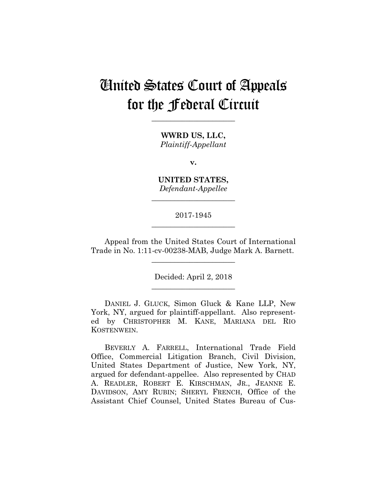# United States Court of Appeals for the Federal Circuit

**\_\_\_\_\_\_\_\_\_\_\_\_\_\_\_\_\_\_\_\_\_\_** 

**WWRD US, LLC,** *Plaintiff-Appellant*

**v.**

**UNITED STATES,** *Defendant-Appellee*

**\_\_\_\_\_\_\_\_\_\_\_\_\_\_\_\_\_\_\_\_\_\_** 

# 2017-1945 **\_\_\_\_\_\_\_\_\_\_\_\_\_\_\_\_\_\_\_\_\_\_**

Appeal from the United States Court of International Trade in No. 1:11-cv-00238-MAB, Judge Mark A. Barnett.

**\_\_\_\_\_\_\_\_\_\_\_\_\_\_\_\_\_\_\_\_\_\_** 

Decided: April 2, 2018 **\_\_\_\_\_\_\_\_\_\_\_\_\_\_\_\_\_\_\_\_\_\_** 

 DANIEL J. GLUCK, Simon Gluck & Kane LLP, New York, NY, argued for plaintiff-appellant. Also represented by CHRISTOPHER M. KANE, MARIANA DEL RIO KOSTENWEIN.

 BEVERLY A. FARRELL, International Trade Field Office, Commercial Litigation Branch, Civil Division, United States Department of Justice, New York, NY, argued for defendant-appellee. Also represented by CHAD A. READLER, ROBERT E. KIRSCHMAN, JR., JEANNE E. DAVIDSON, AMY RUBIN; SHERYL FRENCH, Office of the Assistant Chief Counsel, United States Bureau of Cus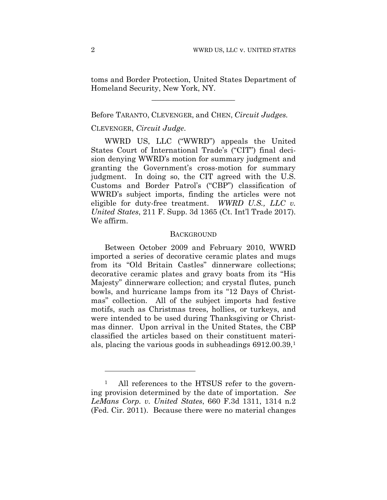toms and Border Protection, United States Department of Homeland Security, New York, NY.

**\_\_\_\_\_\_\_\_\_\_\_\_\_\_\_\_\_\_\_\_\_\_** 

## Before TARANTO, CLEVENGER, and CHEN, *Circuit Judges.*

## CLEVENGER, *Circuit Judge*.

WWRD US, LLC ("WWRD") appeals the United States Court of International Trade's ("CIT") final decision denying WWRD's motion for summary judgment and granting the Government's cross-motion for summary judgment. In doing so, the CIT agreed with the U.S. Customs and Border Patrol's ("CBP") classification of WWRD's subject imports, finding the articles were not eligible for duty-free treatment. *WWRD U.S., LLC v. United States*, 211 F. Supp. 3d 1365 (Ct. Int'l Trade 2017). We affirm.

#### **BACKGROUND**

Between October 2009 and February 2010, WWRD imported a series of decorative ceramic plates and mugs from its "Old Britain Castles" dinnerware collections; decorative ceramic plates and gravy boats from its "His Majesty" dinnerware collection; and crystal flutes, punch bowls, and hurricane lamps from its "12 Days of Christmas" collection. All of the subject imports had festive motifs, such as Christmas trees, hollies, or turkeys, and were intended to be used during Thanksgiving or Christmas dinner. Upon arrival in the United States, the CBP classified the articles based on their constituent materials, placing the various goods in subheadings 6912.00.39,1

<u>.</u>

All references to the HTSUS refer to the governing provision determined by the date of importation. *See LeMans Corp. v. United States*, 660 F.3d 1311, 1314 n.2 (Fed. Cir. 2011). Because there were no material changes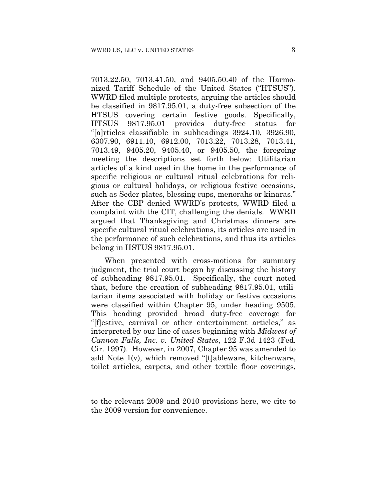7013.22.50, 7013.41.50, and 9405.50.40 of the Harmonized Tariff Schedule of the United States ("HTSUS"). WWRD filed multiple protests, arguing the articles should be classified in 9817.95.01, a duty-free subsection of the HTSUS covering certain festive goods. Specifically, HTSUS 9817.95.01 provides duty-free status for "[a]rticles classifiable in subheadings 3924.10, 3926.90, 6307.90, 6911.10, 6912.00, 7013.22, 7013.28, 7013.41, 7013.49, 9405.20, 9405.40, or 9405.50, the foregoing meeting the descriptions set forth below: Utilitarian articles of a kind used in the home in the performance of specific religious or cultural ritual celebrations for religious or cultural holidays, or religious festive occasions, such as Seder plates, blessing cups, menorahs or kinaras." After the CBP denied WWRD's protests, WWRD filed a complaint with the CIT, challenging the denials. WWRD argued that Thanksgiving and Christmas dinners are specific cultural ritual celebrations, its articles are used in the performance of such celebrations, and thus its articles belong in HSTUS 9817.95.01.

When presented with cross-motions for summary judgment, the trial court began by discussing the history of subheading 9817.95.01. Specifically, the court noted that, before the creation of subheading 9817.95.01, utilitarian items associated with holiday or festive occasions were classified within Chapter 95, under heading 9505. This heading provided broad duty-free coverage for "[f]estive, carnival or other entertainment articles," as interpreted by our line of cases beginning with *Midwest of Cannon Falls, Inc. v. United States*, 122 F.3d 1423 (Fed. Cir. 1997). However, in 2007, Chapter 95 was amended to add Note 1(v), which removed "[t]ableware, kitchenware, toilet articles, carpets, and other textile floor coverings,

l

to the relevant 2009 and 2010 provisions here, we cite to the 2009 version for convenience.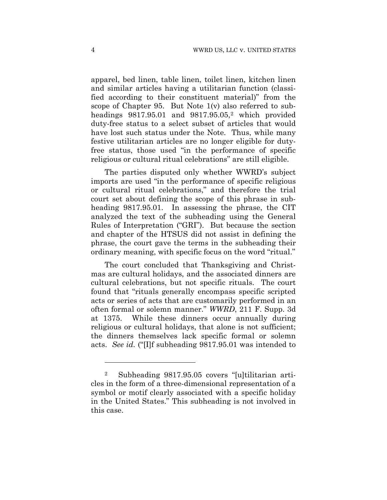apparel, bed linen, table linen, toilet linen, kitchen linen and similar articles having a utilitarian function (classified according to their constituent material)" from the scope of Chapter 95. But Note 1(v) also referred to subheadings  $9817.95.01$  and  $9817.95.05$ ,<sup>2</sup> which provided duty-free status to a select subset of articles that would have lost such status under the Note. Thus, while many festive utilitarian articles are no longer eligible for dutyfree status, those used "in the performance of specific religious or cultural ritual celebrations" are still eligible.

The parties disputed only whether WWRD's subject imports are used "in the performance of specific religious or cultural ritual celebrations," and therefore the trial court set about defining the scope of this phrase in subheading 9817.95.01. In assessing the phrase, the CIT analyzed the text of the subheading using the General Rules of Interpretation ("GRI"). But because the section and chapter of the HTSUS did not assist in defining the phrase, the court gave the terms in the subheading their ordinary meaning, with specific focus on the word "ritual."

The court concluded that Thanksgiving and Christmas are cultural holidays, and the associated dinners are cultural celebrations, but not specific rituals. The court found that "rituals generally encompass specific scripted acts or series of acts that are customarily performed in an often formal or solemn manner." *WWRD*, 211 F. Supp. 3d at 1375. While these dinners occur annually during religious or cultural holidays, that alone is not sufficient; the dinners themselves lack specific formal or solemn acts. *See id.* ("[I]f subheading 9817.95.01 was intended to

1

<sup>2</sup> Subheading 9817.95.05 covers "[u]tilitarian articles in the form of a three-dimensional representation of a symbol or motif clearly associated with a specific holiday in the United States." This subheading is not involved in this case.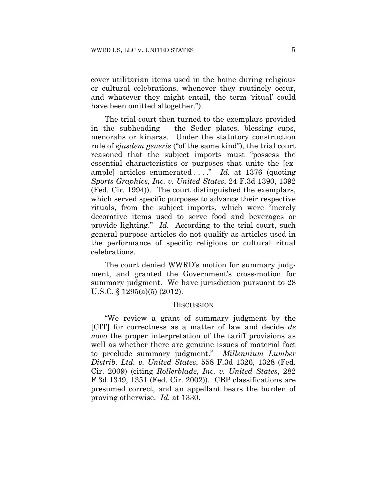cover utilitarian items used in the home during religious or cultural celebrations, whenever they routinely occur, and whatever they might entail, the term 'ritual' could have been omitted altogether.").

The trial court then turned to the exemplars provided in the subheading – the Seder plates, blessing cups, menorahs or kinaras. Under the statutory construction rule of *ejusdem generis* ("of the same kind"), the trial court reasoned that the subject imports must "possess the essential characteristics or purposes that unite the [example] articles enumerated . . . ." *Id.* at 1376 (quoting *Sports Graphics, Inc. v. United States*, 24 F.3d 1390, 1392 (Fed. Cir. 1994)).The court distinguished the exemplars, which served specific purposes to advance their respective rituals, from the subject imports, which were "merely decorative items used to serve food and beverages or provide lighting." *Id.* According to the trial court, such general-purpose articles do not qualify as articles used in the performance of specific religious or cultural ritual celebrations.

The court denied WWRD's motion for summary judgment, and granted the Government's cross-motion for summary judgment. We have jurisdiction pursuant to 28 U.S.C. § 1295(a)(5) (2012).

#### **DISCUSSION**

"We review a grant of summary judgment by the [CIT] for correctness as a matter of law and decide *de novo* the proper interpretation of the tariff provisions as well as whether there are genuine issues of material fact to preclude summary judgment." *Millennium Lumber Distrib. Ltd. v. United States*, 558 F.3d 1326, 1328 (Fed. Cir. 2009) (citing *Rollerblade, Inc. v. United States*, 282 F.3d 1349, 1351 (Fed. Cir. 2002)). CBP classifications are presumed correct, and an appellant bears the burden of proving otherwise. *Id.* at 1330.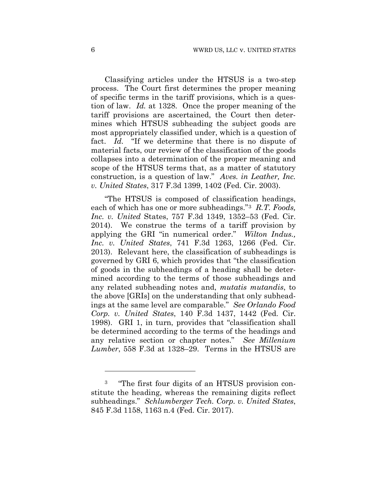Classifying articles under the HTSUS is a two-step process. The Court first determines the proper meaning of specific terms in the tariff provisions, which is a question of law. *Id.* at 1328.Once the proper meaning of the tariff provisions are ascertained, the Court then determines which HTSUS subheading the subject goods are most appropriately classified under, which is a question of fact. *Id.* "If we determine that there is no dispute of material facts, our review of the classification of the goods collapses into a determination of the proper meaning and scope of the HTSUS terms that, as a matter of statutory construction, is a question of law." *Aves. in Leather, Inc. v. United States*, 317 F.3d 1399, 1402 (Fed. Cir. 2003).

"The HTSUS is composed of classification headings, each of which has one or more subheadings."3 *R.T. Foods, Inc. v. United* States, 757 F.3d 1349, 1352–53 (Fed. Cir. 2014). We construe the terms of a tariff provision by applying the GRI "in numerical order." *Wilton Indus., Inc. v. United States*, 741 F.3d 1263, 1266 (Fed. Cir. 2013). Relevant here, the classification of subheadings is governed by GRI 6, which provides that "the classification of goods in the subheadings of a heading shall be determined according to the terms of those subheadings and any related subheading notes and, *mutatis mutandis*, to the above [GRIs] on the understanding that only subheadings at the same level are comparable." *See Orlando Food Corp. v. United States*, 140 F.3d 1437, 1442 (Fed. Cir. 1998). GRI 1, in turn, provides that "classification shall be determined according to the terms of the headings and any relative section or chapter notes." *See Millenium Lumber*, 558 F.3d at 1328–29. Terms in the HTSUS are

<u>.</u>

<sup>3</sup> "The first four digits of an HTSUS provision constitute the heading, whereas the remaining digits reflect subheadings." *Schlumberger Tech. Corp. v. United States*, 845 F.3d 1158, 1163 n.4 (Fed. Cir. 2017).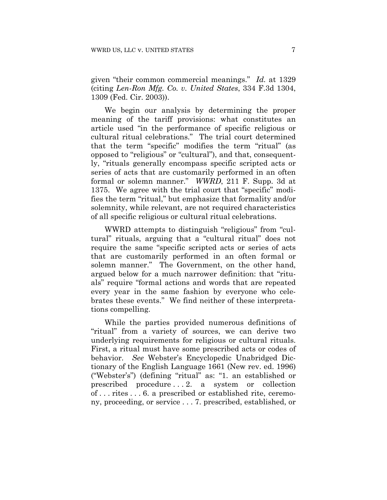given "their common commercial meanings." *Id.* at 1329 (citing *Len-Ron Mfg. Co. v. United States*, 334 F.3d 1304, 1309 (Fed. Cir. 2003)).

We begin our analysis by determining the proper meaning of the tariff provisions: what constitutes an article used "in the performance of specific religious or cultural ritual celebrations." The trial court determined that the term "specific" modifies the term "ritual" (as opposed to "religious" or "cultural"), and that, consequently, "rituals generally encompass specific scripted acts or series of acts that are customarily performed in an often formal or solemn manner." *WWRD*, 211 F. Supp. 3d at 1375. We agree with the trial court that "specific" modifies the term "ritual," but emphasize that formality and/or solemnity, while relevant, are not required characteristics of all specific religious or cultural ritual celebrations.

WWRD attempts to distinguish "religious" from "cultural" rituals, arguing that a "cultural ritual" does not require the same "specific scripted acts or series of acts that are customarily performed in an often formal or solemn manner." The Government, on the other hand, argued below for a much narrower definition: that "rituals" require "formal actions and words that are repeated every year in the same fashion by everyone who celebrates these events." We find neither of these interpretations compelling.

While the parties provided numerous definitions of "ritual" from a variety of sources, we can derive two underlying requirements for religious or cultural rituals. First, a ritual must have some prescribed acts or codes of behavior. *See* Webster's Encyclopedic Unabridged Dictionary of the English Language 1661 (New rev. ed. 1996) ("Webster's") (defining "ritual" as: "1. an established or prescribed procedure . . . 2. a system or collection of . . . rites . . . 6. a prescribed or established rite, ceremony, proceeding, or service . . . 7. prescribed, established, or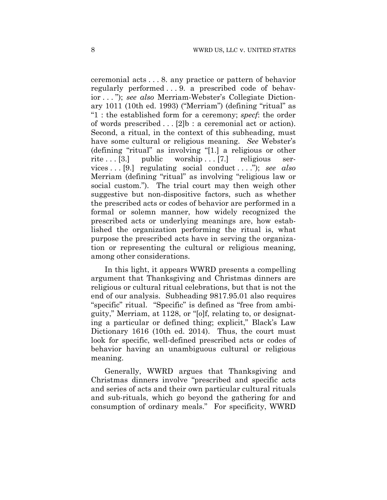ceremonial acts . . . 8. any practice or pattern of behavior regularly performed . . . 9. a prescribed code of behavior . . . "); *see also* Merriam-Webster's Collegiate Dictionary 1011 (10th ed. 1993) ("Merriam") (defining "ritual" as "1 : the established form for a ceremony; *specf*: the order of words prescribed . . . [2]b : a ceremonial act or action). Second, a ritual, in the context of this subheading, must have some cultural or religious meaning. *See* Webster's (defining "ritual" as involving "[1.] a religious or other rite  $\ldots$  [3.] public worship  $\ldots$  [7.] religious services . . . [9.] regulating social conduct . . . ."); *see also*  Merriam (defining "ritual" as involving "religious law or social custom."). The trial court may then weigh other suggestive but non-dispositive factors, such as whether the prescribed acts or codes of behavior are performed in a formal or solemn manner, how widely recognized the prescribed acts or underlying meanings are, how established the organization performing the ritual is, what purpose the prescribed acts have in serving the organization or representing the cultural or religious meaning, among other considerations.

In this light, it appears WWRD presents a compelling argument that Thanksgiving and Christmas dinners are religious or cultural ritual celebrations, but that is not the end of our analysis. Subheading 9817.95.01 also requires "specific" ritual. "Specific" is defined as "free from ambiguity," Merriam, at 1128, or "[o]f, relating to, or designating a particular or defined thing; explicit," Black's Law Dictionary 1616 (10th ed. 2014). Thus, the court must look for specific, well-defined prescribed acts or codes of behavior having an unambiguous cultural or religious meaning.

Generally, WWRD argues that Thanksgiving and Christmas dinners involve "prescribed and specific acts and series of acts and their own particular cultural rituals and sub-rituals, which go beyond the gathering for and consumption of ordinary meals." For specificity, WWRD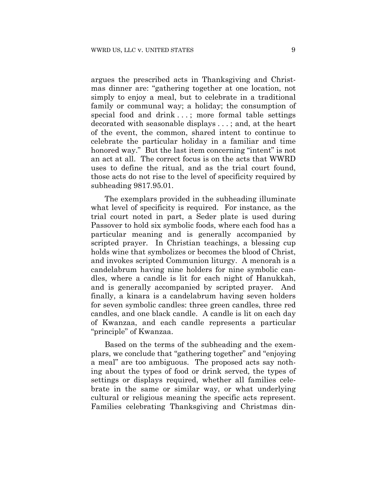argues the prescribed acts in Thanksgiving and Christmas dinner are: "gathering together at one location, not simply to enjoy a meal, but to celebrate in a traditional family or communal way; a holiday; the consumption of special food and drink . . . ; more formal table settings decorated with seasonable displays . . . ; and, at the heart of the event, the common, shared intent to continue to celebrate the particular holiday in a familiar and time honored way." But the last item concerning "intent" is not an act at all. The correct focus is on the acts that WWRD uses to define the ritual, and as the trial court found, those acts do not rise to the level of specificity required by subheading 9817.95.01.

The exemplars provided in the subheading illuminate what level of specificity is required. For instance, as the trial court noted in part, a Seder plate is used during Passover to hold six symbolic foods, where each food has a particular meaning and is generally accompanied by scripted prayer. In Christian teachings, a blessing cup holds wine that symbolizes or becomes the blood of Christ, and invokes scripted Communion liturgy. A menorah is a candelabrum having nine holders for nine symbolic candles, where a candle is lit for each night of Hanukkah, and is generally accompanied by scripted prayer. And finally, a kinara is a candelabrum having seven holders for seven symbolic candles: three green candles, three red candles, and one black candle. A candle is lit on each day of Kwanzaa, and each candle represents a particular "principle" of Kwanzaa.

Based on the terms of the subheading and the exemplars, we conclude that "gathering together" and "enjoying a meal" are too ambiguous. The proposed acts say nothing about the types of food or drink served, the types of settings or displays required, whether all families celebrate in the same or similar way, or what underlying cultural or religious meaning the specific acts represent. Families celebrating Thanksgiving and Christmas din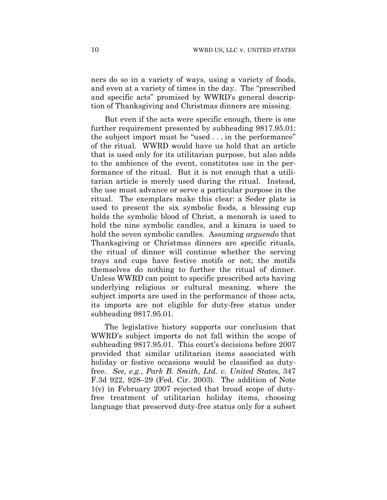ners do so in a variety of ways, using a variety of foods, and even at a variety of times in the day. The "prescribed and specific acts" promised by WWRD's general description of Thanksgiving and Christmas dinners are missing.

But even if the acts were specific enough, there is one further requirement presented by subheading 9817.95.01: the subject import must be "used . . . in the performance" of the ritual. WWRD would have us hold that an article that is used only for its utilitarian purpose, but also adds to the ambience of the event, constitutes use in the performance of the ritual. But it is not enough that a utilitarian article is merely used during the ritual. Instead, the use must advance or serve a particular purpose in the ritual. The exemplars make this clear: a Seder plate is used to present the six symbolic foods, a blessing cup holds the symbolic blood of Christ, a menorah is used to hold the nine symbolic candles, and a kinara is used to hold the seven symbolic candles. Assuming *arguendo* that Thanksgiving or Christmas dinners are specific rituals, the ritual of dinner will continue whether the serving trays and cups have festive motifs or not; the motifs themselves do nothing to further the ritual of dinner. Unless WWRD can point to specific prescribed acts having underlying religious or cultural meaning, where the subject imports are used in the performance of those acts, its imports are not eligible for duty-free status under subheading 9817.95.01.

The legislative history supports our conclusion that WWRD's subject imports do not fall within the scope of subheading 9817.95.01. This court's decisions before 2007 provided that similar utilitarian items associated with holiday or festive occasions would be classified as dutyfree. *See, e.g.*, *Park B. Smith, Ltd. v. United States*, 347 F.3d 922, 928–29 (Fed. Cir. 2003). The addition of Note  $1(v)$  in February 2007 rejected that broad scope of dutyfree treatment of utilitarian holiday items, choosing language that preserved duty-free status only for a subset